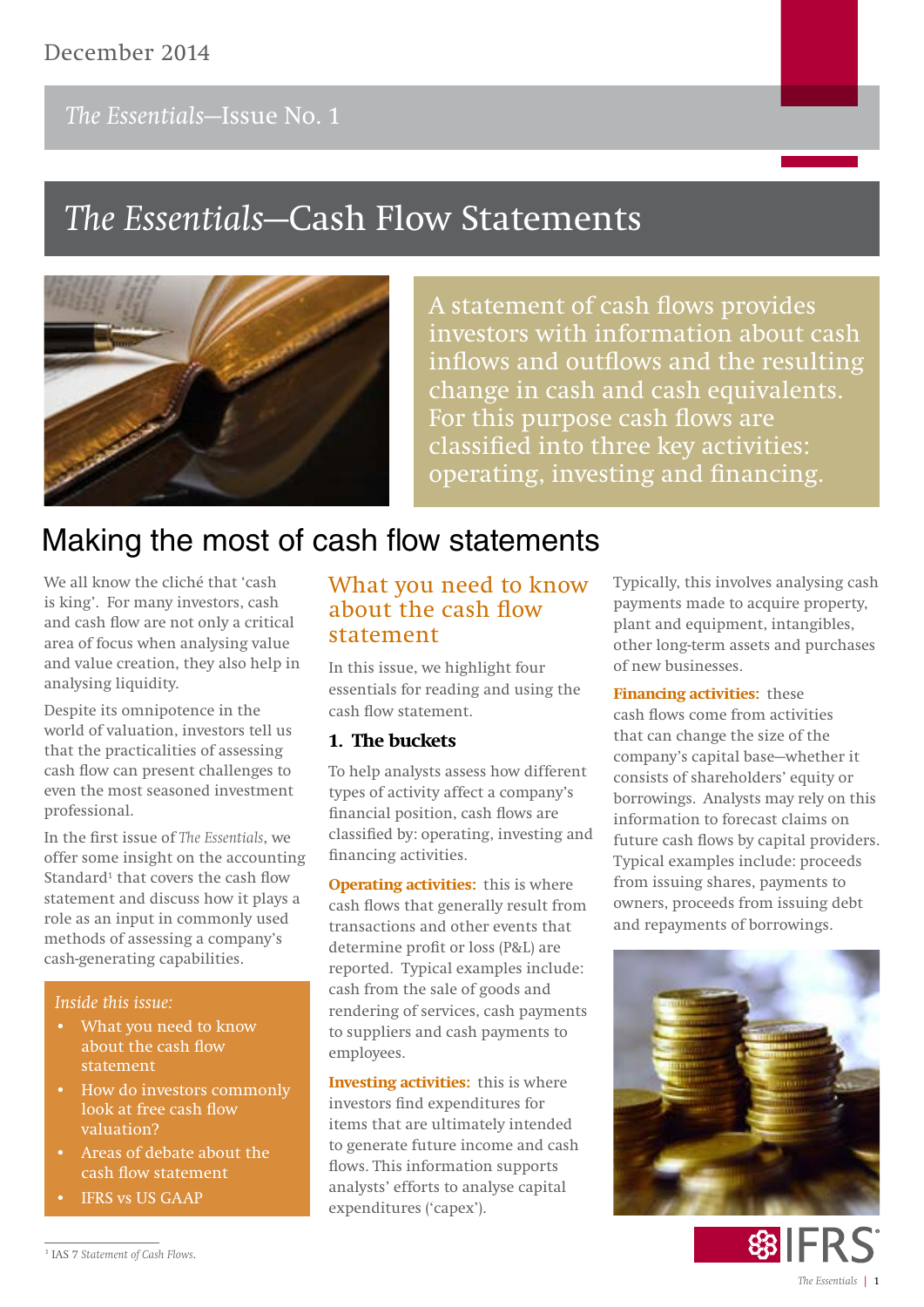## December 2014

## *The Essentials***—Issue No. 1**

# *The Essentials***—Cash Flow Statements**



A statement of cash flows provide**s investors with information about cash inflows and outflows and the resulting change in cash and cash equivalents. For this purpose cash flows are classified into three key activities: operating, investing and financing.**

## Making the most of cash flow statements

We all know the cliché that 'cash is king'. For many investors, cash and cash flow are not only a critical area of focus when analysing value and value creation, they also help in analysing liquidity.

Despite its omnipotence in the world of valuation, investors tell us that the practicalities of assessing cash flow can present challenges to even the most seasoned investment professional.

In the first issue of *The Essentials*, we offer some insight on the accounting Standard<sup>1</sup> that covers the cash flow statement and discuss how it plays a role as an input in commonly used methods of assessing a company's cash-generating capabilities.

#### *Inside this issue:*

- **What you need to know about the cash flow statement**
- **How do investors commonly look at free cash flow valuation?**
- **Areas of debate about the cash flow statement**
- **• IFRS vs US GAAP**

### What you need to know about the cash flow statement

In this issue, we highlight four essentials for reading and using the cash flow statement.

#### **1. The buckets**

To help analysts assess how different types of activity affect a company's financial position, cash flows are classified by: operating, investing and financing activities.

**Operating activities:** this is where cash flows that generally result from transactions and other events that determine profit or loss (P&L) are reported. Typical examples include: cash from the sale of goods and rendering of services, cash payments to suppliers and cash payments to employees.

**Investing activities:** this is where investors find expenditures for items that are ultimately intended to generate future income and cash flows. This information supports analysts' efforts to analyse capital expenditures ('capex').

Typically, this involves analysing cash payments made to acquire property, plant and equipment, intangibles, other long-term assets and purchases of new businesses.

**Financing activities:** these cash flows come from activities that can change the size of the company's capital base—whether it consists of shareholders' equity or borrowings. Analysts may rely on this information to forecast claims on future cash flows by capital providers. Typical examples include: proceeds from issuing shares, payments to owners, proceeds from issuing debt and repayments of borrowings.



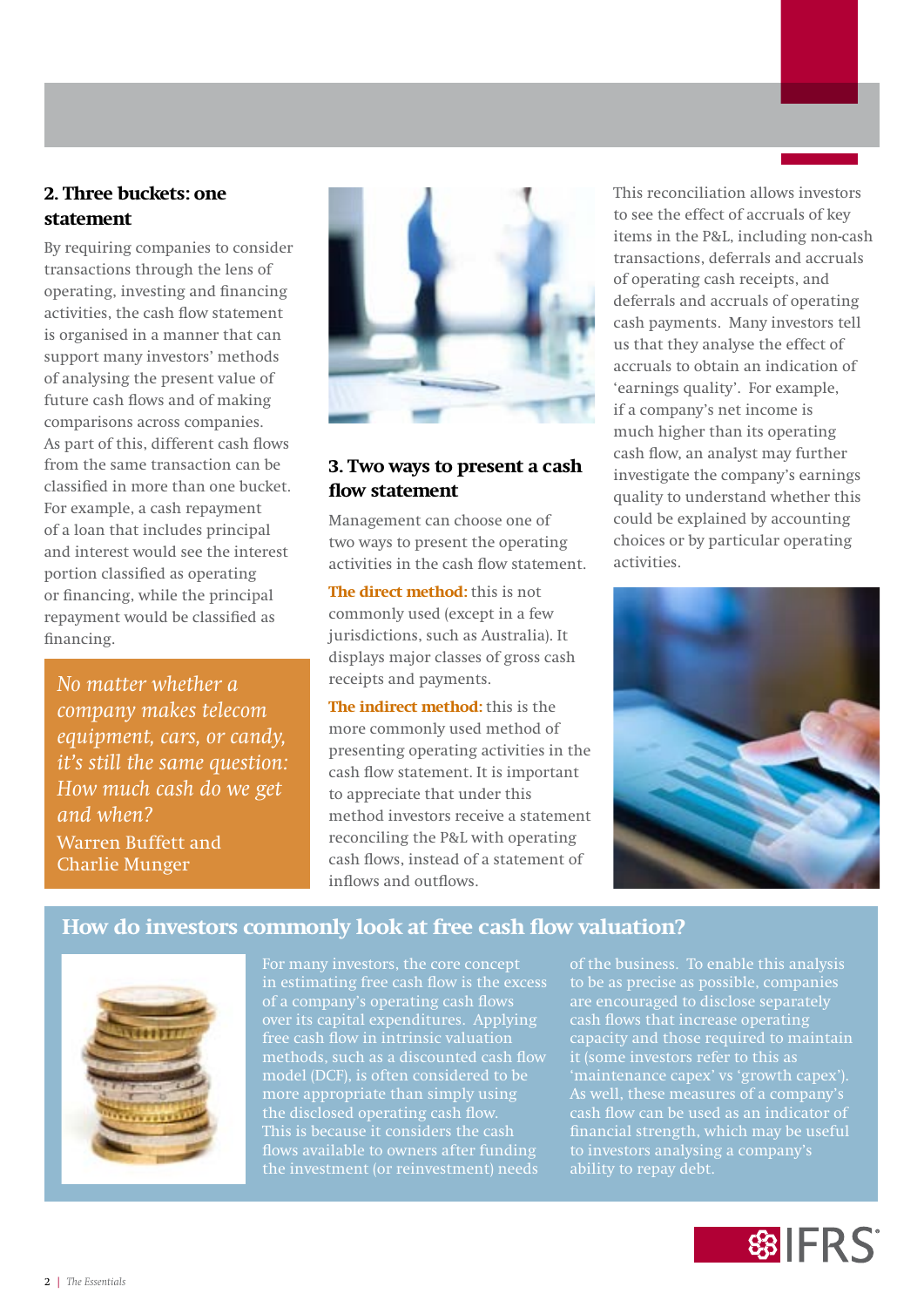### **2. Three buckets: one statement**

By requiring companies to consider transactions through the lens of operating, investing and financing activities, the cash flow statement is organised in a manner that can support many investors' methods of analysing the present value of future cash flows and of making comparisons across companies. As part of this, different cash flows from the same transaction can be classified in more than one bucket. For example, a cash repayment of a loan that includes principal and interest would see the interest portion classified as operating or financing, while the principal repayment would be classified as financing.

*No matter whether a company makes telecom equipment, cars, or candy, it's still the same question: How much cash do we get and when?* Warren Buffett and Charlie Munger



#### **3. Two ways to present a cash flow statement**

Management can choose one of two ways to present the operating activities in the cash flow statement.

**The direct method:** this is not commonly used (except in a few jurisdictions, such as Australia). It displays major classes of gross cash receipts and payments.

**The indirect method:** this is the more commonly used method of presenting operating activities in the cash flow statement. It is important to appreciate that under this method investors receive a statement reconciling the P&L with operating cash flows, instead of a statement of inflows and outflows.

This reconciliation allows investors to see the effect of accruals of key items in the P&L, including non-cash transactions, deferrals and accruals of operating cash receipts, and deferrals and accruals of operating cash payments. Many investors tell us that they analyse the effect of accruals to obtain an indication of 'earnings quality'. For example, if a company's net income is much higher than its operating cash flow, an analyst may further investigate the company's earnings quality to understand whether this could be explained by accounting choices or by particular operating activities.



### **How do investors commonly look at free cash flow valuation?**



in estimating free cash flow is the excess of a company's operating cash flow over its capital expenditures. Applying methods, such as a discounted cash flow model (DCF), is often considered to be more appropriate than simply using the disclosed operating cash flow. This is because it considers the cash

of the business. To enable this analysis to be as precise as possible, companies are encouraged to disclose separately cash flows that increase operating capacity and those required to maintain 'maintenance capex' vs 'growth capex'). As well, these measures of a company's cash flow can be used as an indicator of financial strength, which may be useful to investors analysing a company's ability to repay debt.

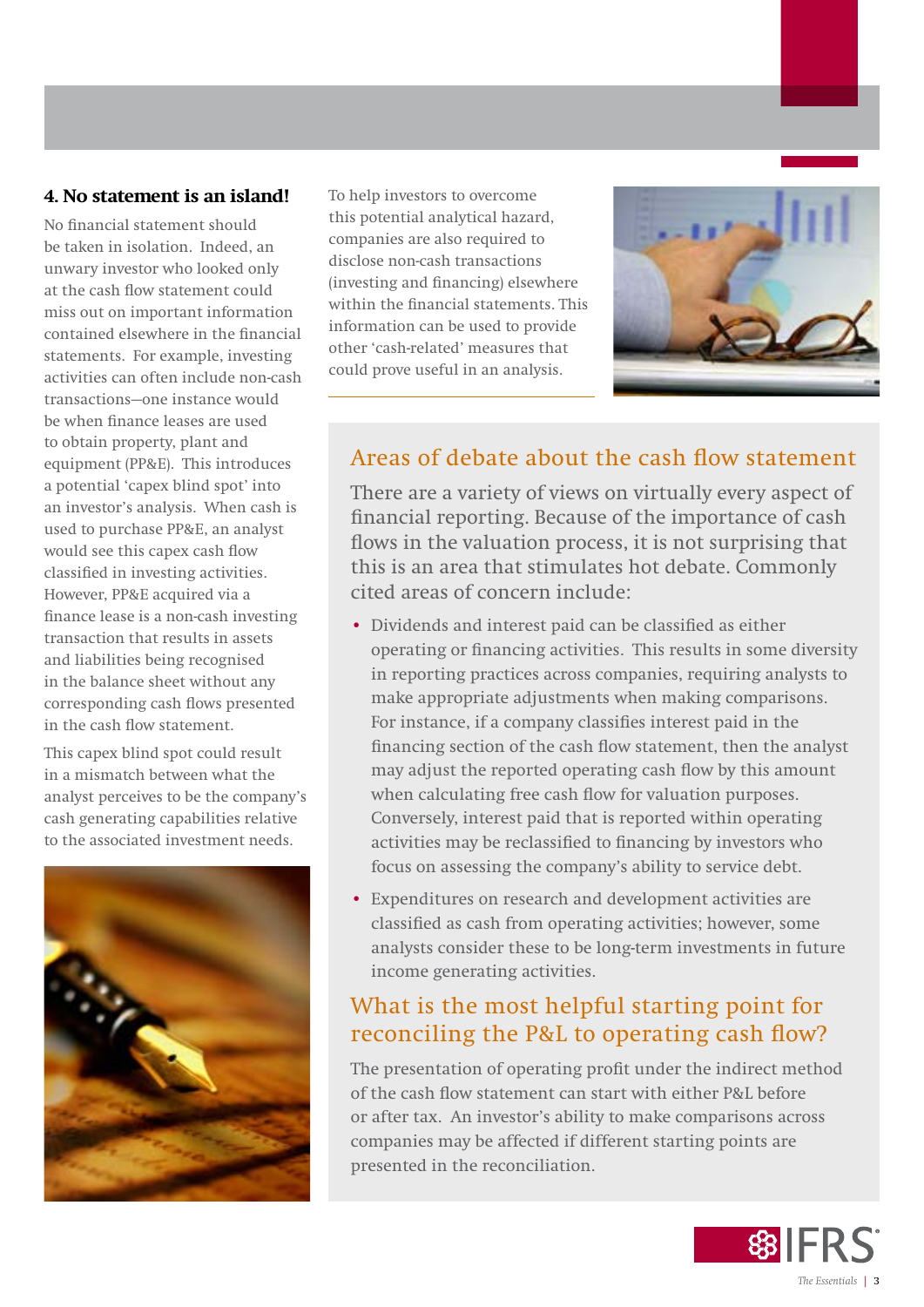#### **4. No statement is an island!**

No financial statement should be taken in isolation. Indeed, an unwary investor who looked only at the cash flow statement could miss out on important information contained elsewhere in the financial statements. For example, investing activities can often include non-cash transactions—one instance would be when finance leases are used to obtain property, plant and equipment (PP&E). This introduces a potential 'capex blind spot' into an investor's analysis. When cash is used to purchase PP&E, an analyst would see this capex cash flow classified in investing activities. However, PP&E acquired via a finance lease is a non-cash investing transaction that results in assets and liabilities being recognised in the balance sheet without any corresponding cash flows presented in the cash flow statement.

This capex blind spot could result in a mismatch between what the analyst perceives to be the company's cash generating capabilities relative to the associated investment needs.



To help investors to overcome this potential analytical hazard, companies are also required to disclose non-cash transactions (investing and financing) elsewhere within the financial statements. This information can be used to provide other 'cash-related' measures that could prove useful in an analysis.



## Areas of debate about the cash flow statement

There are a variety of views on virtually every aspect of financial reporting. Because of the importance of cash flows in the valuation process, it is not surprising that this is an area that stimulates hot debate. Commonly cited areas of concern include:

- Dividends and interest paid can be classified as either operating or financing activities. This results in some diversity in reporting practices across companies, requiring analysts to make appropriate adjustments when making comparisons. For instance, if a company classifies interest paid in the financing section of the cash flow statement, then the analyst may adjust the reported operating cash flow by this amount when calculating free cash flow for valuation purposes. Conversely, interest paid that is reported within operating activities may be reclassified to financing by investors who focus on assessing the company's ability to service debt.
- Expenditures on research and development activities are classified as cash from operating activities; however, some analysts consider these to be long-term investments in future income generating activities.

## What is the most helpful starting point for reconciling the P&L to operating cash flow?

The presentation of operating profit under the indirect method of the cash flow statement can start with either P&L before or after tax. An investor's ability to make comparisons across companies may be affected if different starting points are presented in the reconciliation.